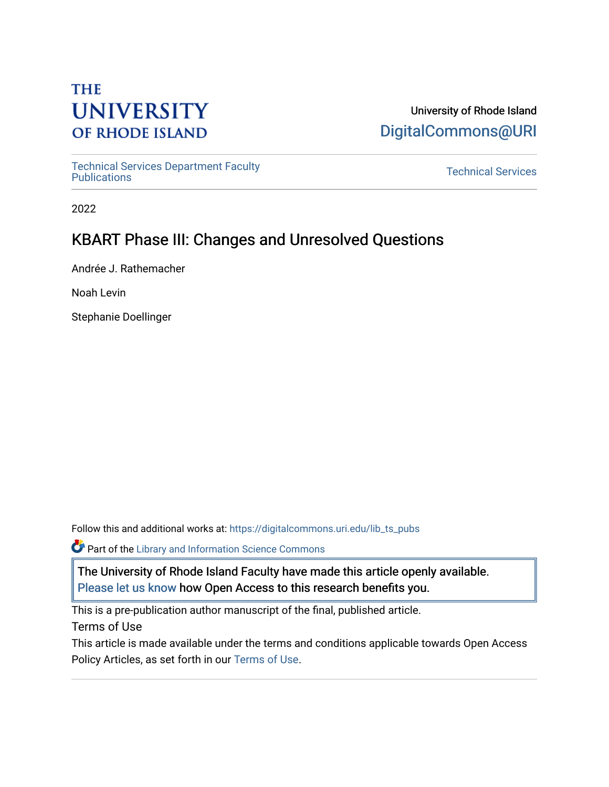# **THE UNIVERSITY OF RHODE ISLAND**

### University of Rhode Island [DigitalCommons@URI](https://digitalcommons.uri.edu/)

[Technical Services Department Faculty](https://digitalcommons.uri.edu/lib_ts_pubs)  Technical Services Department Faculty<br>[Publications](https://digitalcommons.uri.edu/lib_ts_pubs) Technical Services

2022

## KBART Phase III: Changes and Unresolved Questions

Andrée J. Rathemacher

Noah Levin

Stephanie Doellinger

Follow this and additional works at: [https://digitalcommons.uri.edu/lib\\_ts\\_pubs](https://digitalcommons.uri.edu/lib_ts_pubs?utm_source=digitalcommons.uri.edu%2Flib_ts_pubs%2F148&utm_medium=PDF&utm_campaign=PDFCoverPages)

**Part of the Library and Information Science Commons** 

The University of Rhode Island Faculty have made this article openly available. [Please let us know](http://web.uri.edu/library-digital-initiatives/open-access-online-form/) how Open Access to this research benefits you.

This is a pre-publication author manuscript of the final, published article.

Terms of Use

This article is made available under the terms and conditions applicable towards Open Access Policy Articles, as set forth in our [Terms of Use](https://digitalcommons.uri.edu/lib_ts_pubs/oa_policy_terms.html).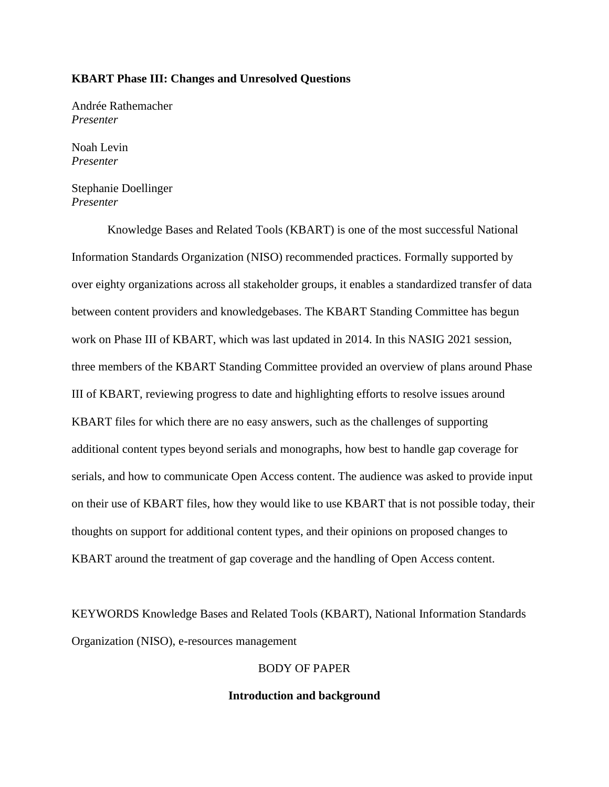#### **KBART Phase III: Changes and Unresolved Questions**

Andrée Rathemacher *Presenter*

Noah Levin *Presenter*

Stephanie Doellinger *Presenter*

Knowledge Bases and Related Tools (KBART) is one of the most successful National Information Standards Organization (NISO) recommended practices. Formally supported by over eighty organizations across all stakeholder groups, it enables a standardized transfer of data between content providers and knowledgebases. The KBART Standing Committee has begun work on Phase III of KBART, which was last updated in 2014. In this NASIG 2021 session, three members of the KBART Standing Committee provided an overview of plans around Phase III of KBART, reviewing progress to date and highlighting efforts to resolve issues around KBART files for which there are no easy answers, such as the challenges of supporting additional content types beyond serials and monographs, how best to handle gap coverage for serials, and how to communicate Open Access content. The audience was asked to provide input on their use of KBART files, how they would like to use KBART that is not possible today, their thoughts on support for additional content types, and their opinions on proposed changes to KBART around the treatment of gap coverage and the handling of Open Access content.

KEYWORDS Knowledge Bases and Related Tools (KBART), National Information Standards Organization (NISO), e-resources management

### BODY OF PAPER

#### **Introduction and background**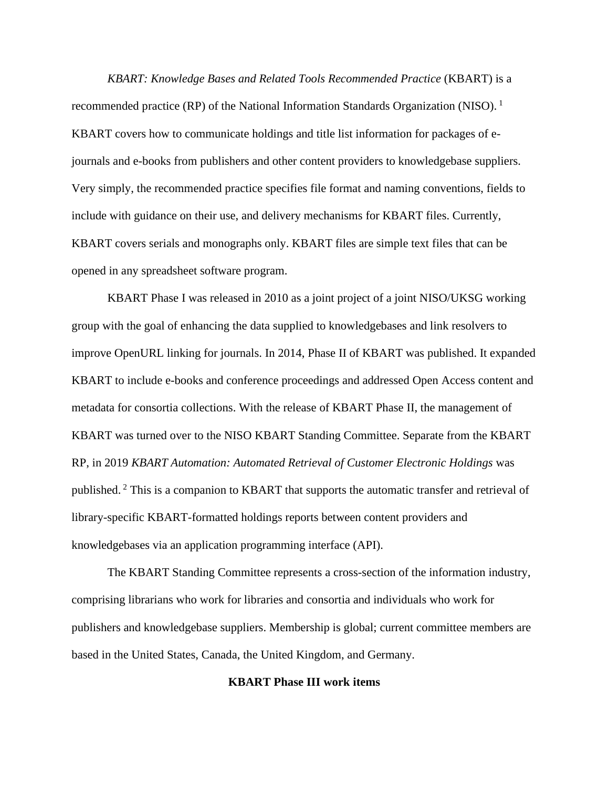*KBART: Knowledge Bases and Related Tools Recommended Practice* (KBART) is a recommended practice (RP) of the National Information Standards Organization (NISO).<sup>1</sup> KBART covers how to communicate holdings and title list information for packages of ejournals and e-books from publishers and other content providers to knowledgebase suppliers. Very simply, the recommended practice specifies file format and naming conventions, fields to include with guidance on their use, and delivery mechanisms for KBART files. Currently, KBART covers serials and monographs only. KBART files are simple text files that can be opened in any spreadsheet software program.

KBART Phase I was released in 2010 as a joint project of a joint NISO/UKSG working group with the goal of enhancing the data supplied to knowledgebases and link resolvers to improve OpenURL linking for journals. In 2014, Phase II of KBART was published. It expanded KBART to include e-books and conference proceedings and addressed Open Access content and metadata for consortia collections. With the release of KBART Phase II, the management of KBART was turned over to the NISO KBART Standing Committee. Separate from the KBART RP, in 2019 *KBART Automation: Automated Retrieval of Customer Electronic Holdings* was published. <sup>2</sup> This is a companion to KBART that supports the automatic transfer and retrieval of library-specific KBART-formatted holdings reports between content providers and knowledgebases via an application programming interface (API).

The KBART Standing Committee represents a cross-section of the information industry, comprising librarians who work for libraries and consortia and individuals who work for publishers and knowledgebase suppliers. Membership is global; current committee members are based in the United States, Canada, the United Kingdom, and Germany.

#### **KBART Phase III work items**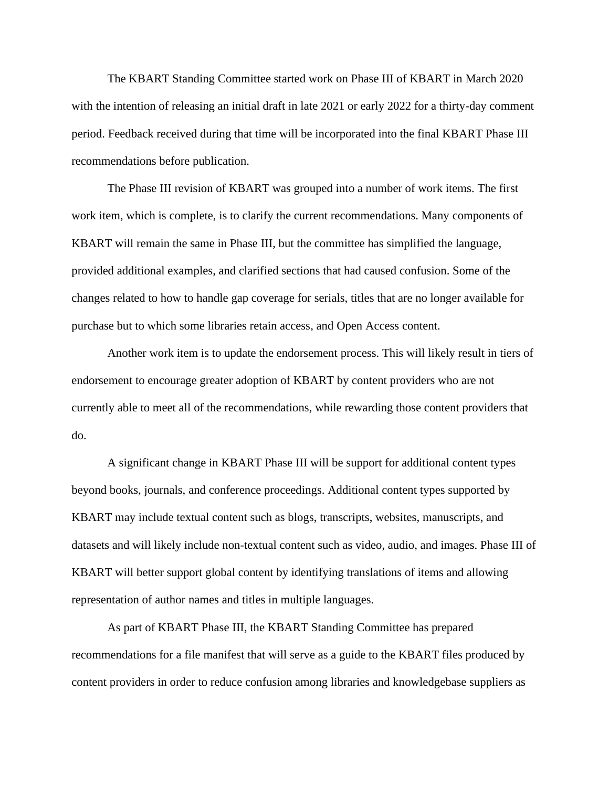The KBART Standing Committee started work on Phase III of KBART in March 2020 with the intention of releasing an initial draft in late 2021 or early 2022 for a thirty-day comment period. Feedback received during that time will be incorporated into the final KBART Phase III recommendations before publication.

The Phase III revision of KBART was grouped into a number of work items. The first work item, which is complete, is to clarify the current recommendations. Many components of KBART will remain the same in Phase III, but the committee has simplified the language, provided additional examples, and clarified sections that had caused confusion. Some of the changes related to how to handle gap coverage for serials, titles that are no longer available for purchase but to which some libraries retain access, and Open Access content.

Another work item is to update the endorsement process. This will likely result in tiers of endorsement to encourage greater adoption of KBART by content providers who are not currently able to meet all of the recommendations, while rewarding those content providers that do.

A significant change in KBART Phase III will be support for additional content types beyond books, journals, and conference proceedings. Additional content types supported by KBART may include textual content such as blogs, transcripts, websites, manuscripts, and datasets and will likely include non-textual content such as video, audio, and images. Phase III of KBART will better support global content by identifying translations of items and allowing representation of author names and titles in multiple languages.

As part of KBART Phase III, the KBART Standing Committee has prepared recommendations for a file manifest that will serve as a guide to the KBART files produced by content providers in order to reduce confusion among libraries and knowledgebase suppliers as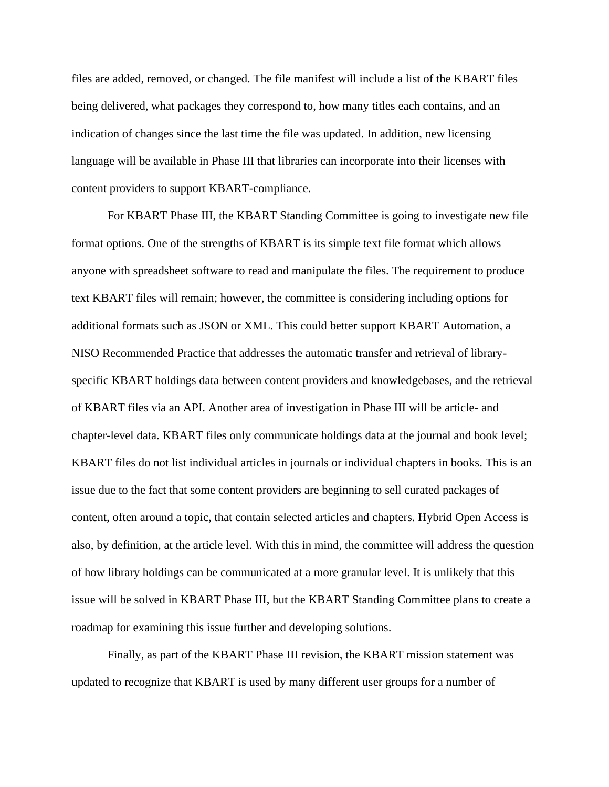files are added, removed, or changed. The file manifest will include a list of the KBART files being delivered, what packages they correspond to, how many titles each contains, and an indication of changes since the last time the file was updated. In addition, new licensing language will be available in Phase III that libraries can incorporate into their licenses with content providers to support KBART-compliance.

For KBART Phase III, the KBART Standing Committee is going to investigate new file format options. One of the strengths of KBART is its simple text file format which allows anyone with spreadsheet software to read and manipulate the files. The requirement to produce text KBART files will remain; however, the committee is considering including options for additional formats such as JSON or XML. This could better support KBART Automation, a NISO Recommended Practice that addresses the automatic transfer and retrieval of libraryspecific KBART holdings data between content providers and knowledgebases, and the retrieval of KBART files via an API. Another area of investigation in Phase III will be article- and chapter-level data. KBART files only communicate holdings data at the journal and book level; KBART files do not list individual articles in journals or individual chapters in books. This is an issue due to the fact that some content providers are beginning to sell curated packages of content, often around a topic, that contain selected articles and chapters. Hybrid Open Access is also, by definition, at the article level. With this in mind, the committee will address the question of how library holdings can be communicated at a more granular level. It is unlikely that this issue will be solved in KBART Phase III, but the KBART Standing Committee plans to create a roadmap for examining this issue further and developing solutions.

Finally, as part of the KBART Phase III revision, the KBART mission statement was updated to recognize that KBART is used by many different user groups for a number of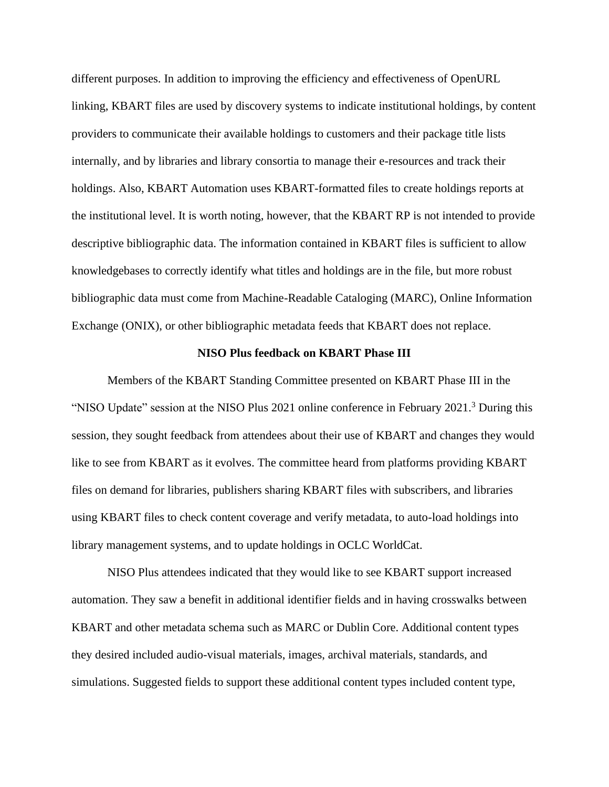different purposes. In addition to improving the efficiency and effectiveness of OpenURL linking, KBART files are used by discovery systems to indicate institutional holdings, by content providers to communicate their available holdings to customers and their package title lists internally, and by libraries and library consortia to manage their e-resources and track their holdings. Also, KBART Automation uses KBART-formatted files to create holdings reports at the institutional level. It is worth noting, however, that the KBART RP is not intended to provide descriptive bibliographic data. The information contained in KBART files is sufficient to allow knowledgebases to correctly identify what titles and holdings are in the file, but more robust bibliographic data must come from Machine-Readable Cataloging (MARC), Online Information Exchange (ONIX), or other bibliographic metadata feeds that KBART does not replace.

#### **NISO Plus feedback on KBART Phase III**

Members of the KBART Standing Committee presented on KBART Phase III in the "NISO Update" session at the NISO Plus 2021 online conference in February 2021.<sup>3</sup> During this session, they sought feedback from attendees about their use of KBART and changes they would like to see from KBART as it evolves. The committee heard from platforms providing KBART files on demand for libraries, publishers sharing KBART files with subscribers, and libraries using KBART files to check content coverage and verify metadata, to auto-load holdings into library management systems, and to update holdings in OCLC WorldCat.

NISO Plus attendees indicated that they would like to see KBART support increased automation. They saw a benefit in additional identifier fields and in having crosswalks between KBART and other metadata schema such as MARC or Dublin Core. Additional content types they desired included audio-visual materials, images, archival materials, standards, and simulations. Suggested fields to support these additional content types included content type,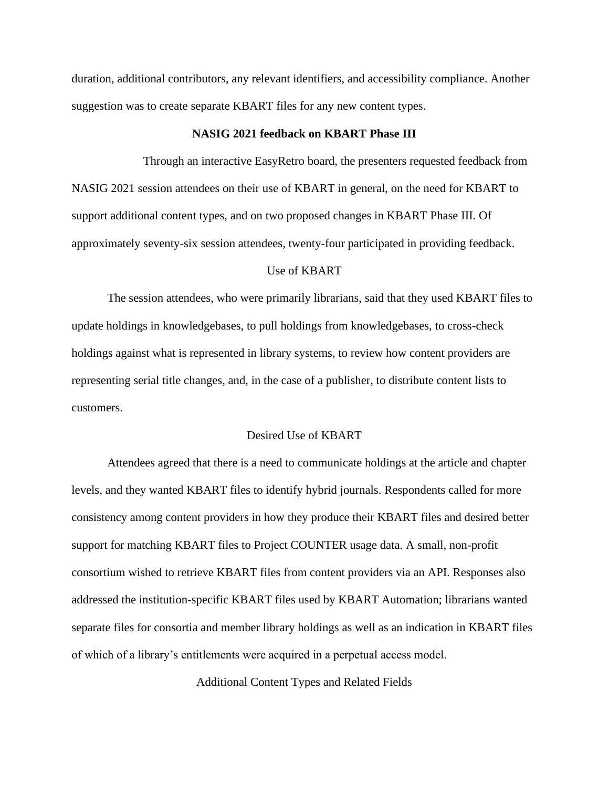duration, additional contributors, any relevant identifiers, and accessibility compliance. Another suggestion was to create separate KBART files for any new content types.

#### **NASIG 2021 feedback on KBART Phase III**

Through an interactive EasyRetro board, the presenters requested feedback from NASIG 2021 session attendees on their use of KBART in general, on the need for KBART to support additional content types, and on two proposed changes in KBART Phase III. Of approximately seventy-six session attendees, twenty-four participated in providing feedback.

#### Use of KBART

The session attendees, who were primarily librarians, said that they used KBART files to update holdings in knowledgebases, to pull holdings from knowledgebases, to cross-check holdings against what is represented in library systems, to review how content providers are representing serial title changes, and, in the case of a publisher, to distribute content lists to customers.

#### Desired Use of KBART

Attendees agreed that there is a need to communicate holdings at the article and chapter levels, and they wanted KBART files to identify hybrid journals. Respondents called for more consistency among content providers in how they produce their KBART files and desired better support for matching KBART files to Project COUNTER usage data. A small, non-profit consortium wished to retrieve KBART files from content providers via an API. Responses also addressed the institution-specific KBART files used by KBART Automation; librarians wanted separate files for consortia and member library holdings as well as an indication in KBART files of which of a library's entitlements were acquired in a perpetual access model.

Additional Content Types and Related Fields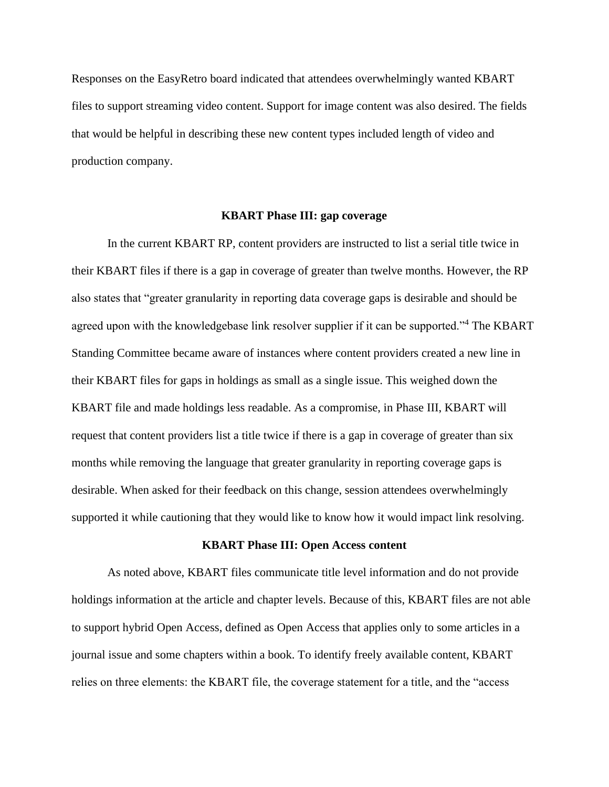Responses on the EasyRetro board indicated that attendees overwhelmingly wanted KBART files to support streaming video content. Support for image content was also desired. The fields that would be helpful in describing these new content types included length of video and production company.

#### **KBART Phase III: gap coverage**

In the current KBART RP, content providers are instructed to list a serial title twice in their KBART files if there is a gap in coverage of greater than twelve months. However, the RP also states that "greater granularity in reporting data coverage gaps is desirable and should be agreed upon with the knowledgebase link resolver supplier if it can be supported."<sup>4</sup> The KBART Standing Committee became aware of instances where content providers created a new line in their KBART files for gaps in holdings as small as a single issue. This weighed down the KBART file and made holdings less readable. As a compromise, in Phase III, KBART will request that content providers list a title twice if there is a gap in coverage of greater than six months while removing the language that greater granularity in reporting coverage gaps is desirable. When asked for their feedback on this change, session attendees overwhelmingly supported it while cautioning that they would like to know how it would impact link resolving.

#### **KBART Phase III: Open Access content**

As noted above, KBART files communicate title level information and do not provide holdings information at the article and chapter levels. Because of this, KBART files are not able to support hybrid Open Access, defined as Open Access that applies only to some articles in a journal issue and some chapters within a book. To identify freely available content, KBART relies on three elements: the KBART file, the coverage statement for a title, and the "access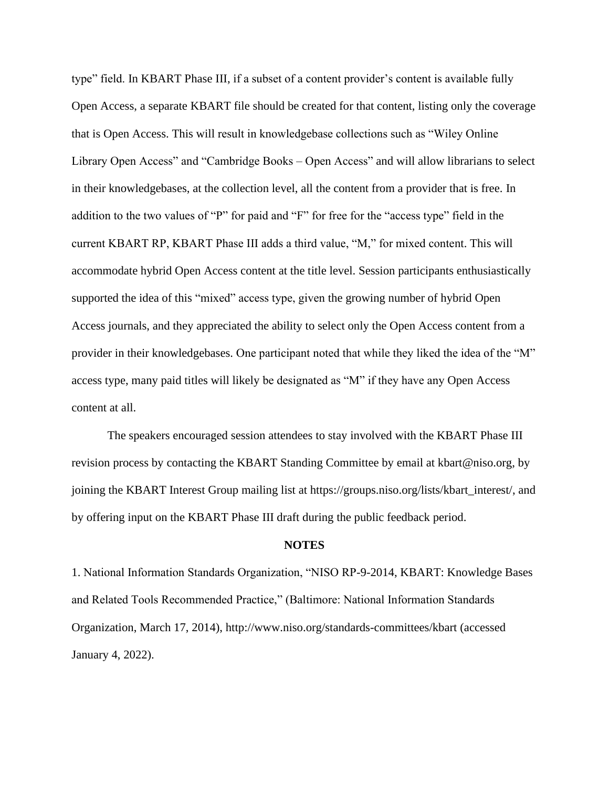type" field. In KBART Phase III, if a subset of a content provider's content is available fully Open Access, a separate KBART file should be created for that content, listing only the coverage that is Open Access. This will result in knowledgebase collections such as "Wiley Online Library Open Access" and "Cambridge Books – Open Access" and will allow librarians to select in their knowledgebases, at the collection level, all the content from a provider that is free. In addition to the two values of "P" for paid and "F" for free for the "access type" field in the current KBART RP, KBART Phase III adds a third value, "M," for mixed content. This will accommodate hybrid Open Access content at the title level. Session participants enthusiastically supported the idea of this "mixed" access type, given the growing number of hybrid Open Access journals, and they appreciated the ability to select only the Open Access content from a provider in their knowledgebases. One participant noted that while they liked the idea of the "M" access type, many paid titles will likely be designated as "M" if they have any Open Access content at all.

The speakers encouraged session attendees to stay involved with the KBART Phase III revision process by contacting the KBART Standing Committee by email at kbart@niso.org, by joining the KBART Interest Group mailing list at https://groups.niso.org/lists/kbart\_interest/, and by offering input on the KBART Phase III draft during the public feedback period.

#### **NOTES**

1. National Information Standards Organization, "NISO RP-9-2014, KBART: Knowledge Bases and Related Tools Recommended Practice," (Baltimore: National Information Standards Organization, March 17, 2014), http://www.niso.org/standards-committees/kbart (accessed January 4, 2022).